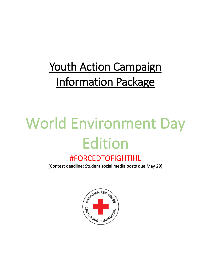# Youth Action Campaign Information Package

# World Environment Day Edition

### #FORCEDTOFIGHTIHL

(Contest deadline: Student social media posts due May 29)

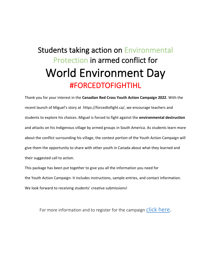## Students taking action on Environmental Protection in armed conflict for World Environment Day #FORCEDTOFIGHTIHL

Thank you for your interest in the **Canadian Red Cross Youth Action Campaign 2022**. With the recent launch of Miguel's story at [https://forcedtofight.ca/,](https://forcedtofight.ca/) we encourage teachers and students to explore his choices. Miguel is forced to fight against the **environmental destruction**  and attacks on his Indigenous village by armed groups in South America. As students learn more about the conflict surrounding his village, the contest portion of the Youth Action Campaign will give them the opportunity to share with other youth in Canada about what they learned and their suggested call to action.

This package has been put together to give you all the information you need for the Youth Action Campaign. It includes instructions, sample entries, and contact information. We look forward to receiving students' creative submissions!

For more information and to register for the campaign [click here.](https://www.redcross.ca/how-we-help/international-humanitarian-law/conferences-trainings-and-events/april-22-2022-youth-action-campaign-yac-2022)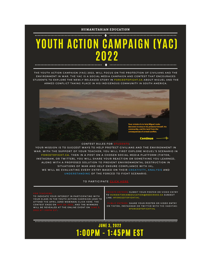

## YOUTH ACTION CAMPAIGN (YAC) 2022

THE YOUTH ACTION CAMPAIGN (YAC) 2022, WILL FOCUS ON THE PROTECTION OF CIVILIANS AND THE ENVIRONMENT IN WAR. THE YAC IS A SOCIAL MEDIA CAMPAIGN AND CONTEST THAT ENCOURAGES STUDENTS TO EXPLORE THE NEWLY RELEASED STORY IN FORCEDTOFIGHT.CA ABOUT MIGUEL AND THE ARMED CONFLICT TAKING PLACE IN HIS INDIGENOUS COMMUNITY IN SOUTH AMERICA.



#### CONTEST RULES FOR STUD

YOUR MISSION IS TO SUGGEST WAYS TO HELP PROTECT CIVILIANS AND THE ENVIRONMENT IN WAR. WITH THE SUPPORT OF YOUR TEACHER, YOU WILL FIRST EXPLORE MIGUEL'S SCENARIO IN FORCETOFIGHT.CA. THEN IN A POST ON A CHOSEN SOCIAL MEDIA PLATFORM (TIKTOK, INSTAGRAM, OR TWITTER), YOU WILL SHARE YOUR REACTION OR SOMETHING YOU LEARNED, ALONG WITH A PROPOSED SOLUTION TO PREVENT ENVIRONMENTAL DESTRUCTION IN SITUATIONS OF WAR AND HELP ENSURE COMPLIANCE WITH IHL. WE WILL BE EVALUATING EVERY ENTRY BASED ON THEIR CREATIVITY, ANALYSIS AND UNDERSTANDING OF THE FORCED TO FIGHT SCENARIO.

TO PARTICIPATE CLICK HERE

| <b>FOR TEACHERS:</b><br>TO INDICATE YOUR INTEREST IN PARTICIPATING WITH<br>YOUR CLASS IN THE YOUTH ACTION CAMPAIGN (AND TO<br>ATTEND THE APRIL 22ND WEBINAR) CLICK HERE. THE<br>CONTEST ENDS ON MAY 29, 2022, AND THE WINNERS<br>WILL BE REVEALED AT THE ONLINE EVENT ON JUNE 3.<br>2022 AT 1:00PM EST | <b>PRIVATE ENTRIES: SUBMIT YOUR POSTER OR VIDEO ENTRY</b><br>TO HUMANITARIANEDUCATION@REDCROSS.CA SUBJECT<br>LINE: #FORCEDTOFIGHTIHL<br><b>PUBLIC ENTRIES: SHARE YOUR POSTER OR VIDEO ENTRY</b><br>ON TIKTOK, INSTAGRAM OR TWITTER WITH THE HASHTAG:<br><b>#FORCEDTOFIGHTIHL</b> |
|--------------------------------------------------------------------------------------------------------------------------------------------------------------------------------------------------------------------------------------------------------------------------------------------------------|----------------------------------------------------------------------------------------------------------------------------------------------------------------------------------------------------------------------------------------------------------------------------------|
|--------------------------------------------------------------------------------------------------------------------------------------------------------------------------------------------------------------------------------------------------------------------------------------------------------|----------------------------------------------------------------------------------------------------------------------------------------------------------------------------------------------------------------------------------------------------------------------------------|

### **JUNE 3, 2022** 1:00PM - 1:45PM EST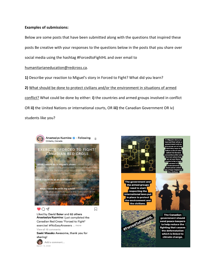#### **Examples of submissions:**

Below are some posts that have been submitted along with the questions that inspired these posts Be creative with your responses to the questions below in the posts that you share over social media using the hashtag #ForcedtoFighIHL and over email to

#### [humanitarianeducation@redcross.ca.](mailto:humanitarianeducation@redcross.ca)

**1)** Describe your reaction to Miguel's story in Forced to Fight? What did you learn?

**2)** What should be done to protect civilians and/or the environment in situations of armed conflict? What could be done by either: **i)** the countries and armed groups involved in conflict OR **ii)** the United Nations or international courts, OR **iii)** the Canadian Government OR iv) students like you?





The government and the armed groups need to start respecting the international laws put in place to protect the environment and the civilians.



**The Canadian** government should send peace keepers to help reduce the **fighting that causes** the deforestation which is linked to climate change.